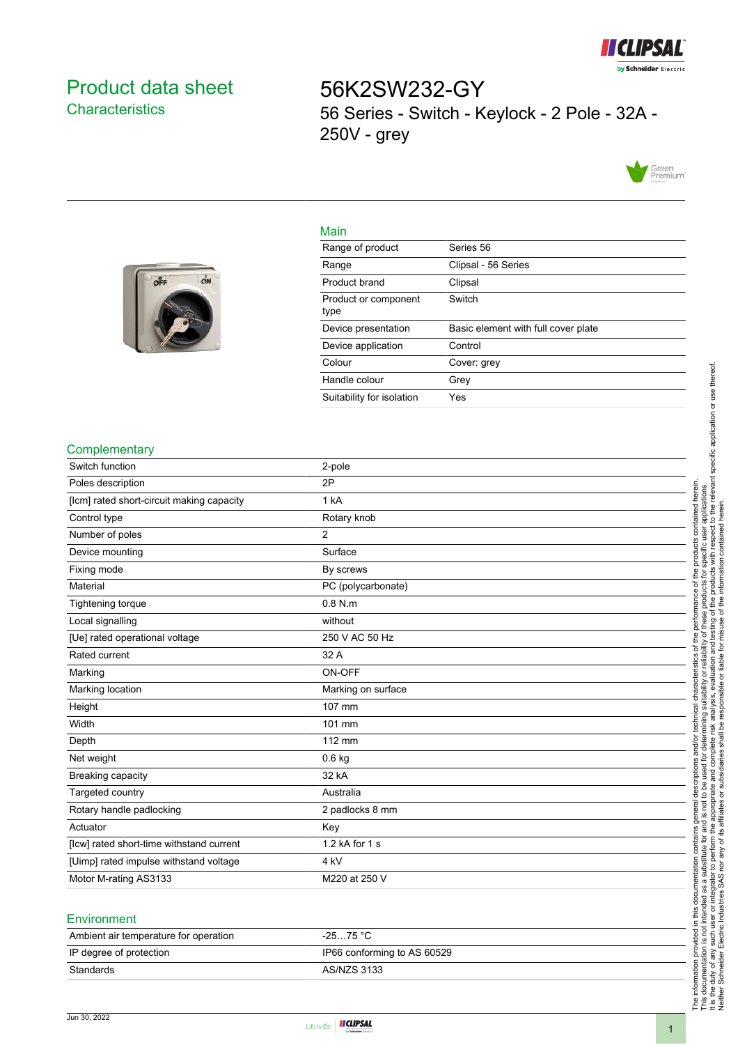

# <span id="page-0-0"></span>Product data sheet **Characteristics**

56K2SW232-GY 56 Series - Switch - Keylock - 2 Pole - 32A - 250V - grey



#### Main

|  | Range                 |
|--|-----------------------|
|  | Product brar          |
|  | Product or co<br>type |
|  | Device prese          |
|  | Device appli          |
|  | Colour                |

| Range of product             | Series 56                           |
|------------------------------|-------------------------------------|
| Range                        | Clipsal - 56 Series                 |
| Product brand                | Clipsal                             |
| Product or component<br>type | Switch                              |
| Device presentation          | Basic element with full cover plate |
| Device application           | Control                             |
| Colour                       | Cover: grey                         |
| Handle colour                | Grev                                |
|                              |                                     |

### **Complementary**

| Switch function                           | 2-pole             |
|-------------------------------------------|--------------------|
| Poles description                         | 2P                 |
| [lcm] rated short-circuit making capacity | 1 kA               |
| Control type                              | Rotary knob        |
| Number of poles                           | 2                  |
| Device mounting                           | Surface            |
| Fixing mode                               | By screws          |
| Material                                  | PC (polycarbonate) |
| <b>Tightening torque</b>                  | $0.8$ N.m.         |
| Local signalling                          | without            |
| [Ue] rated operational voltage            | 250 V AC 50 Hz     |
| Rated current                             | 32 A               |
| Marking                                   | ON-OFF             |
| Marking location                          | Marking on surface |
| Height                                    | 107 mm             |
| Width                                     | 101 mm             |
| Depth                                     | 112 mm             |
| Net weight                                | $0.6$ kg           |
| Breaking capacity                         | 32 kA              |
| Targeted country                          | Australia          |
| Rotary handle padlocking                  | 2 padlocks 8 mm    |
| Actuator                                  | Key                |
| [lcw] rated short-time withstand current  | 1.2 kA for 1 s     |
| [Uimp] rated impulse withstand voltage    | 4 <sub>kV</sub>    |
| Motor M-rating AS3133                     | M220 at 250 V      |
|                                           |                    |

#### **Environment**

| Ambient air temperature for operation | $-2575 °C$                  |
|---------------------------------------|-----------------------------|
| IP degree of protection               | IP66 conforming to AS 60529 |
| Standards                             | AS/NZS 3133                 |